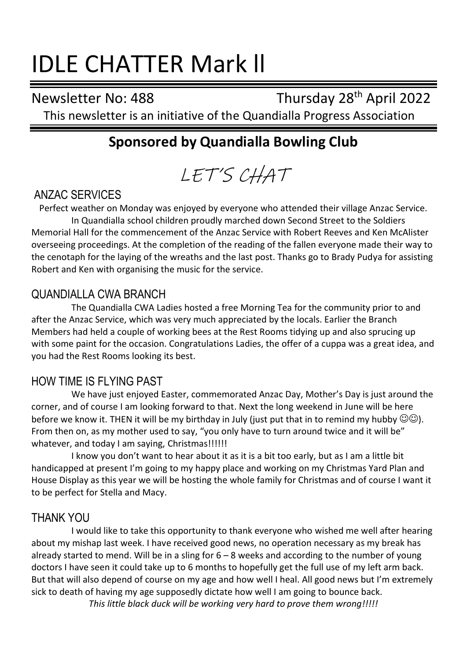# IDLE CHATTER Mark ll

Newsletter No: 488 Thursday 28th April 2022 This newsletter is an initiative of the Quandialla Progress Association

# **Sponsored by Quandialla Bowling Club**

LET'S CHAT

## ANZAC SERVICES

Perfect weather on Monday was enjoyed by everyone who attended their village Anzac Service. In Quandialla school children proudly marched down Second Street to the Soldiers Memorial Hall for the commencement of the Anzac Service with Robert Reeves and Ken McAlister overseeing proceedings. At the completion of the reading of the fallen everyone made their way to the cenotaph for the laying of the wreaths and the last post. Thanks go to Brady Pudya for assisting Robert and Ken with organising the music for the service.

## QUANDIALLA CWA BRANCH

The Quandialla CWA Ladies hosted a free Morning Tea for the community prior to and after the Anzac Service, which was very much appreciated by the locals. Earlier the Branch Members had held a couple of working bees at the Rest Rooms tidying up and also sprucing up with some paint for the occasion. Congratulations Ladies, the offer of a cuppa was a great idea, and you had the Rest Rooms looking its best.

## HOW TIME IS FLYING PAST

We have just enjoyed Easter, commemorated Anzac Day, Mother's Day is just around the corner, and of course I am looking forward to that. Next the long weekend in June will be here before we know it. THEN it will be my birthday in July (just put that in to remind my hubby  $\mathbb{O} \mathbb{O}$ ). From then on, as my mother used to say, "you only have to turn around twice and it will be" whatever, and today I am saying, Christmas!!!!!!

I know you don't want to hear about it as it is a bit too early, but as I am a little bit handicapped at present I'm going to my happy place and working on my Christmas Yard Plan and House Display as this year we will be hosting the whole family for Christmas and of course I want it to be perfect for Stella and Macy.

## THANK YOU

I would like to take this opportunity to thank everyone who wished me well after hearing about my mishap last week. I have received good news, no operation necessary as my break has already started to mend. Will be in a sling for  $6 - 8$  weeks and according to the number of young doctors I have seen it could take up to 6 months to hopefully get the full use of my left arm back. But that will also depend of course on my age and how well I heal. All good news but I'm extremely sick to death of having my age supposedly dictate how well I am going to bounce back. *This little black duck will be working very hard to prove them wrong!!!!!*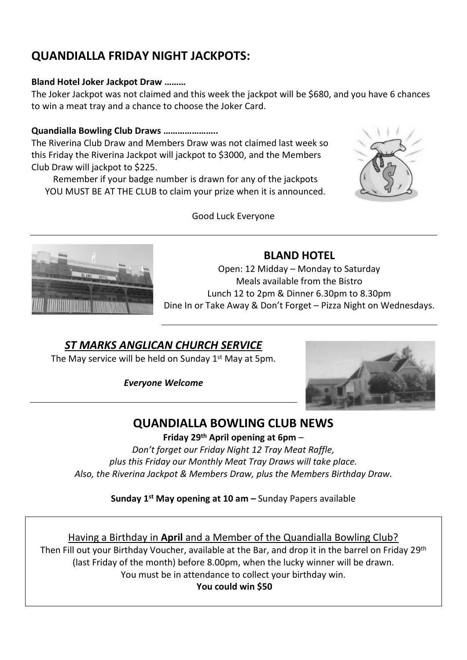# **QUANDIALLA FRIDAY NIGHT JACKPOTS:**

#### **Bland Hotel Joker Jackpot Draw ………**

The Joker Jackpot was not claimed and this week the jackpot will be \$680, and you have 6 chances to win a meat tray and a chance to choose the Joker Card.

#### **Quandialla Bowling Club Draws …………………..**

The Riverina Club Draw and Members Draw was not claimed last week so this Friday the Riverina Jackpot will jackpot to \$3000, and the Members Club Draw will jackpot to \$225.

Remember if your badge number is drawn for any of the jackpots YOU MUST BE AT THE CLUB to claim your prize when it is announced.





#### Good Luck Everyone

### **BLAND HOTEL**

Open: 12 Midday – Monday to Saturday Meals available from the Bistro Lunch 12 to 2pm & Dinner 6.30pm to 8.30pm Dine In or Take Away & Don't Forget – Pizza Night on Wednesdays.

## *ST MARKS ANGLICAN CHURCH SERVICE*

The May service will be held on Sunday 1<sup>st</sup> May at 5pm.

*Everyone Welcome*



## **QUANDIALLA BOWLING CLUB NEWS**

**Friday 29 th April opening at 6pm** – *Don't forget our Friday Night 12 Tray Meat Raffle, plus this Friday our Monthly Meat Tray Draws will take place. Also, the Riverina Jackpot & Members Draw, plus the Members Birthday Draw.*

**Sunday 1 st May opening at 10 am –** Sunday Papers available

Having a Birthday in **April** and a Member of the Quandialla Bowling Club? Then Fill out your Birthday Voucher, available at the Bar, and drop it in the barrel on Friday 29<sup>th</sup> (last Friday of the month) before 8.00pm, when the lucky winner will be drawn. You must be in attendance to collect your birthday win.

**You could win \$50**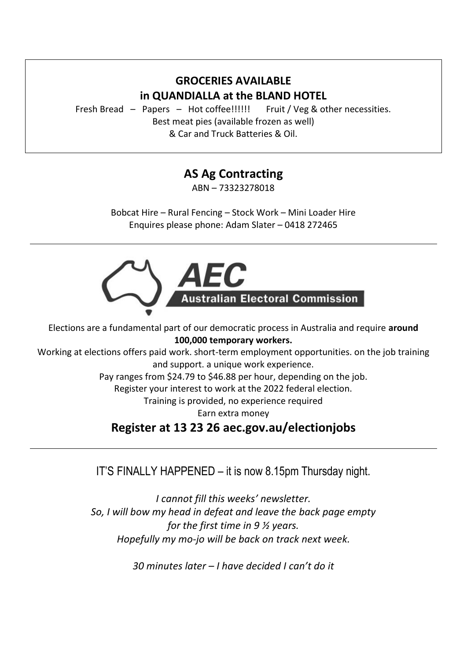## **GROCERIES AVAILABLE in QUANDIALLA at the BLAND HOTEL**

Fresh Bread – Papers – Hot coffee!!!!!! Fruit / Veg & other necessities. Best meat pies (available frozen as well) & Car and Truck Batteries & Oil.

# **AS Ag Contracting**

ABN – 73323278018

Bobcat Hire – Rural Fencing – Stock Work – Mini Loader Hire Enquires please phone: Adam Slater – 0418 272465



Elections are a fundamental part of our democratic process in Australia and require **around 100,000 temporary workers.**

Working at elections offers paid work. short-term employment opportunities. on the job training and support. a unique work experience.

Pay ranges from \$24.79 to \$46.88 per hour, depending on the job.

Register your interest to work at the 2022 federal election.

Training is provided, no experience required

Earn extra money

## **Register at 13 23 26 aec.gov.au/electionjobs**

IT'S FINALLY HAPPENED – it is now 8.15pm Thursday night.

*I cannot fill this weeks' newsletter. So, I will bow my head in defeat and leave the back page empty for the first time in 9 ½ years. Hopefully my mo-jo will be back on track next week.*

*30 minutes later – I have decided I can't do it*